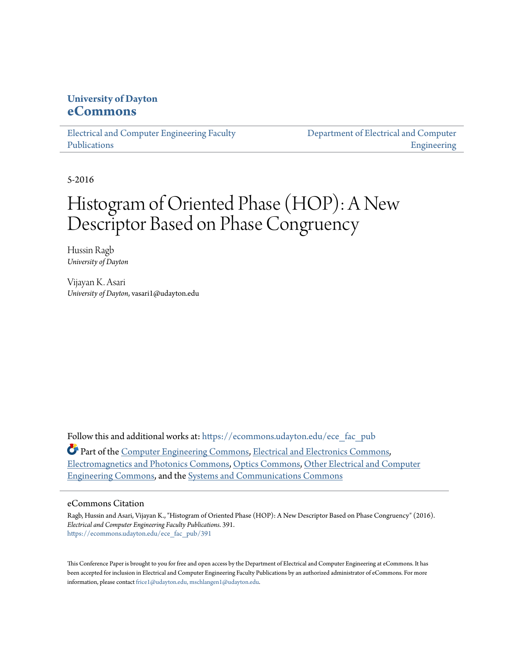### **University of Dayton [eCommons](https://ecommons.udayton.edu?utm_source=ecommons.udayton.edu%2Fece_fac_pub%2F391&utm_medium=PDF&utm_campaign=PDFCoverPages)**

[Electrical and Computer Engineering Faculty](https://ecommons.udayton.edu/ece_fac_pub?utm_source=ecommons.udayton.edu%2Fece_fac_pub%2F391&utm_medium=PDF&utm_campaign=PDFCoverPages) [Publications](https://ecommons.udayton.edu/ece_fac_pub?utm_source=ecommons.udayton.edu%2Fece_fac_pub%2F391&utm_medium=PDF&utm_campaign=PDFCoverPages)

[Department of Electrical and Computer](https://ecommons.udayton.edu/ece?utm_source=ecommons.udayton.edu%2Fece_fac_pub%2F391&utm_medium=PDF&utm_campaign=PDFCoverPages) [Engineering](https://ecommons.udayton.edu/ece?utm_source=ecommons.udayton.edu%2Fece_fac_pub%2F391&utm_medium=PDF&utm_campaign=PDFCoverPages)

5-2016

# Histogram of Oriented Phase (HOP): A New Descriptor Based on Phase Congruency

Hussin Ragb *University of Dayton*

Vijayan K. Asari *University of Dayton*, vasari1@udayton.edu

Follow this and additional works at: [https://ecommons.udayton.edu/ece\\_fac\\_pub](https://ecommons.udayton.edu/ece_fac_pub?utm_source=ecommons.udayton.edu%2Fece_fac_pub%2F391&utm_medium=PDF&utm_campaign=PDFCoverPages)

Part of the [Computer Engineering Commons,](http://network.bepress.com/hgg/discipline/258?utm_source=ecommons.udayton.edu%2Fece_fac_pub%2F391&utm_medium=PDF&utm_campaign=PDFCoverPages) [Electrical and Electronics Commons](http://network.bepress.com/hgg/discipline/270?utm_source=ecommons.udayton.edu%2Fece_fac_pub%2F391&utm_medium=PDF&utm_campaign=PDFCoverPages), [Electromagnetics and Photonics Commons,](http://network.bepress.com/hgg/discipline/271?utm_source=ecommons.udayton.edu%2Fece_fac_pub%2F391&utm_medium=PDF&utm_campaign=PDFCoverPages) [Optics Commons](http://network.bepress.com/hgg/discipline/204?utm_source=ecommons.udayton.edu%2Fece_fac_pub%2F391&utm_medium=PDF&utm_campaign=PDFCoverPages), [Other Electrical and Computer](http://network.bepress.com/hgg/discipline/278?utm_source=ecommons.udayton.edu%2Fece_fac_pub%2F391&utm_medium=PDF&utm_campaign=PDFCoverPages) [Engineering Commons,](http://network.bepress.com/hgg/discipline/278?utm_source=ecommons.udayton.edu%2Fece_fac_pub%2F391&utm_medium=PDF&utm_campaign=PDFCoverPages) and the [Systems and Communications Commons](http://network.bepress.com/hgg/discipline/276?utm_source=ecommons.udayton.edu%2Fece_fac_pub%2F391&utm_medium=PDF&utm_campaign=PDFCoverPages)

#### eCommons Citation

Ragb, Hussin and Asari, Vijayan K., "Histogram of Oriented Phase (HOP): A New Descriptor Based on Phase Congruency" (2016). *Electrical and Computer Engineering Faculty Publications*. 391. [https://ecommons.udayton.edu/ece\\_fac\\_pub/391](https://ecommons.udayton.edu/ece_fac_pub/391?utm_source=ecommons.udayton.edu%2Fece_fac_pub%2F391&utm_medium=PDF&utm_campaign=PDFCoverPages)

This Conference Paper is brought to you for free and open access by the Department of Electrical and Computer Engineering at eCommons. It has been accepted for inclusion in Electrical and Computer Engineering Faculty Publications by an authorized administrator of eCommons. For more information, please contact [frice1@udayton.edu, mschlangen1@udayton.edu.](mailto:frice1@udayton.edu,%20mschlangen1@udayton.edu)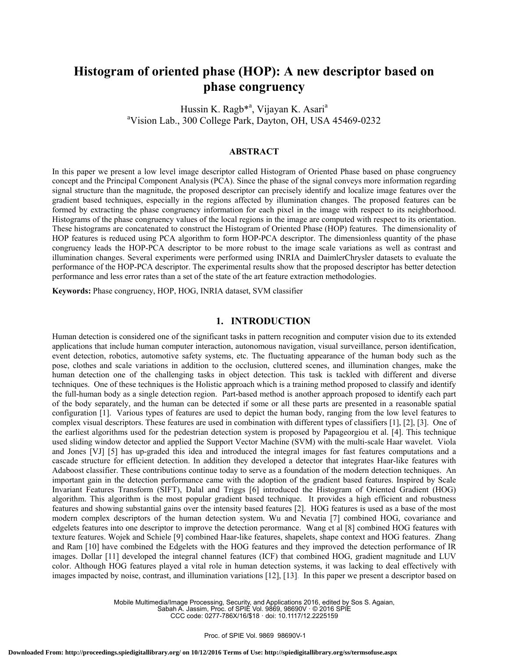## **Histogram of oriented phase (HOP): A new descriptor based on phase congruency**

Hussin K. Ragb<sup>\*a</sup>, Vijayan K. Asari<sup>a</sup> a Vision Lab., 300 College Park, Dayton, OH, USA 45469-0232

#### **ABSTRACT**

In this paper we present a low level image descriptor called Histogram of Oriented Phase based on phase congruency concept and the Principal Component Analysis (PCA). Since the phase of the signal conveys more information regarding signal structure than the magnitude, the proposed descriptor can precisely identify and localize image features over the gradient based techniques, especially in the regions affected by illumination changes. The proposed features can be formed by extracting the phase congruency information for each pixel in the image with respect to its neighborhood. Histograms of the phase congruency values of the local regions in the image are computed with respect to its orientation. These histograms are concatenated to construct the Histogram of Oriented Phase (HOP) features. The dimensionality of HOP features is reduced using PCA algorithm to form HOP-PCA descriptor. The dimensionless quantity of the phase congruency leads the HOP-PCA descriptor to be more robust to the image scale variations as well as contrast and illumination changes. Several experiments were performed using INRIA and DaimlerChrysler datasets to evaluate the performance of the HOP-PCA descriptor. The experimental results show that the proposed descriptor has better detection performance and less error rates than a set of the state of the art feature extraction methodologies.

**Keywords:** Phase congruency, HOP, HOG, INRIA dataset, SVM classifier

#### **1. INTRODUCTION**

Human detection is considered one of the significant tasks in pattern recognition and computer vision due to its extended applications that include human computer interaction, autonomous navigation, visual surveillance, person identification, event detection, robotics, automotive safety systems, etc. The fluctuating appearance of the human body such as the pose, clothes and scale variations in addition to the occlusion, cluttered scenes, and illumination changes, make the human detection one of the challenging tasks in object detection. This task is tackled with different and diverse techniques. One of these techniques is the Holistic approach which is a training method proposed to classify and identify the full-human body as a single detection region. Part-based method is another approach proposed to identify each part of the body separately, and the human can be detected if some or all these parts are presented in a reasonable spatial configuration [1]. Various types of features are used to depict the human body, ranging from the low level features to complex visual descriptors. These features are used in combination with different types of classifiers [1], [2], [3]. One of the earliest algorithms used for the pedestrian detection system is proposed by Papageorgiou et al. [4]. This technique used sliding window detector and applied the Support Vector Machine (SVM) with the multi-scale Haar wavelet. Viola and Jones [VJ] [5] has up-graded this idea and introduced the integral images for fast features computations and a cascade structure for efficient detection. In addition they developed a detector that integrates Haar-like features with Adaboost classifier. These contributions continue today to serve as a foundation of the modern detection techniques. An important gain in the detection performance came with the adoption of the gradient based features. Inspired by Scale Invariant Features Transform (SIFT), Dalal and Triggs [6] introduced the Histogram of Oriented Gradient (HOG) algorithm. This algorithm is the most popular gradient based technique. It provides a high efficient and robustness features and showing substantial gains over the intensity based features [2]. HOG features is used as a base of the most modern complex descriptors of the human detection system. Wu and Nevatia [7] combined HOG, covariance and edgelets features into one descriptor to improve the detection perormance. Wang et al [8] combined HOG features with texture features. Wojek and Schiele [9] combined Haar-like features, shapelets, shape context and HOG features. Zhang and Ram [10] have combined the Edgelets with the HOG features and they improved the detection performance of IR images. Dollar [11] developed the integral channel features (ICF) that combined HOG, gradient magnitude and LUV color. Although HOG features played a vital role in human detection systems, it was lacking to deal effectively with images impacted by noise, contrast, and illumination variations [12], [13]. In this paper we present a descriptor based on

> Mobile Multimedia/Image Processing, Security, and Applications 2016, edited by Sos S. Agaian, Sabah A. Jassim, Proc. of SPIE Vol. 9869, 98690V · © 2016 SPIE CCC code: 0277-786X/16/\$18 · doi: 10.1117/12.2225159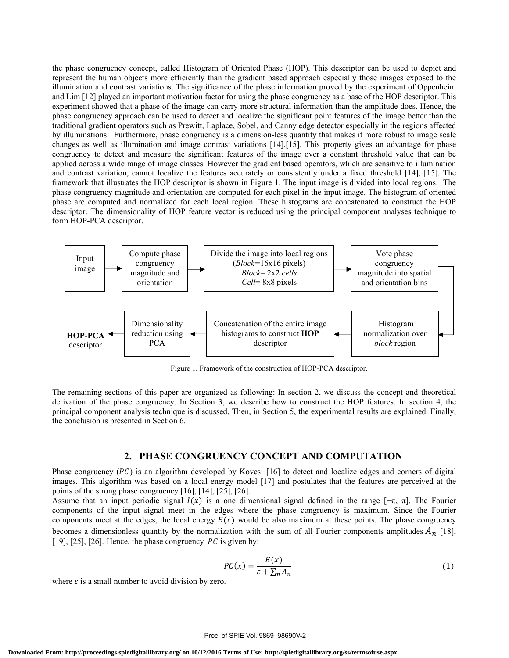the phase congruency concept, called Histogram of Oriented Phase (HOP). This descriptor can be used to depict and represent the human objects more efficiently than the gradient based approach especially those images exposed to the illumination and contrast variations. The significance of the phase information proved by the experiment of Oppenheim and Lim [12] played an important motivation factor for using the phase congruency as a base of the HOP descriptor. This experiment showed that a phase of the image can carry more structural information than the amplitude does. Hence, the phase congruency approach can be used to detect and localize the significant point features of the image better than the traditional gradient operators such as Prewitt, Laplace, Sobel, and Canny edge detector especially in the regions affected by illuminations. Furthermore, phase congruency is a dimension-less quantity that makes it more robust to image scale changes as well as illumination and image contrast variations [14],[15]. This property gives an advantage for phase congruency to detect and measure the significant features of the image over a constant threshold value that can be applied across a wide range of image classes. However the gradient based operators, which are sensitive to illumination and contrast variation, cannot localize the features accurately or consistently under a fixed threshold [14], [15]. The framework that illustrates the HOP descriptor is shown in Figure 1. The input image is divided into local regions. The phase congruency magnitude and orientation are computed for each pixel in the input image. The histogram of oriented phase are computed and normalized for each local region. These histograms are concatenated to construct the HOP descriptor. The dimensionality of HOP feature vector is reduced using the principal component analyses technique to form HOP-PCA descriptor.



Figure 1. Framework of the construction of HOP-PCA descriptor.

The remaining sections of this paper are organized as following: In section 2, we discuss the concept and theoretical derivation of the phase congruency. In Section 3, we describe how to construct the HOP features. In section 4, the principal component analysis technique is discussed. Then, in Section 5, the experimental results are explained. Finally, the conclusion is presented in Section 6.

#### **2. PHASE CONGRUENCY CONCEPT AND COMPUTATION**

Phase congruency  $(PC)$  is an algorithm developed by Kovesi [16] to detect and localize edges and corners of digital images. This algorithm was based on a local energy model [17] and postulates that the features are perceived at the points of the strong phase congruency [16], [14], [25], [26].

Assume that an input periodic signal  $I(x)$  is a one dimensional signal defined in the range  $[-\pi, \pi]$ . The Fourier components of the input signal meet in the edges where the phase congruency is maximum. Since the Fourier components meet at the edges, the local energy  $E(x)$  would be also maximum at these points. The phase congruency becomes a dimensionless quantity by the normalization with the sum of all Fourier components amplitudes  $A_n$  [18], [19], [25], [26]. Hence, the phase congruency  $\overline{PC}$  is given by:

$$
PC(x) = \frac{E(x)}{\varepsilon + \sum_{n} A_n}
$$
 (1)

where  $\varepsilon$  is a small number to avoid division by zero.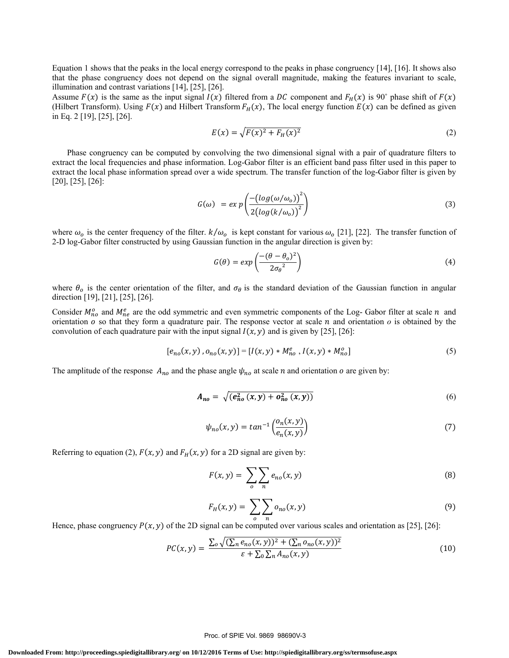Equation 1 shows that the peaks in the local energy correspond to the peaks in phase congruency [14], [16]. It shows also that the phase congruency does not depend on the signal overall magnitude, making the features invariant to scale, illumination and contrast variations [14], [25], [26].

Assume  $F(x)$  is the same as the input signal  $I(x)$  filtered from a DC component and  $F<sub>H</sub>(x)$  is 90° phase shift of  $F(x)$ (Hilbert Transform). Using  $F(x)$  and Hilbert Transform  $F<sub>H</sub>(x)$ , The local energy function  $E(x)$  can be defined as given in Eq. 2 [19], [25], [26].

$$
E(x) = \sqrt{F(x)^2 + F_H(x)^2}
$$
 (2)

Phase congruency can be computed by convolving the two dimensional signal with a pair of quadrature filters to extract the local frequencies and phase information. Log-Gabor filter is an efficient band pass filter used in this paper to extract the local phase information spread over a wide spectrum. The transfer function of the log-Gabor filter is given by [20], [25], [26]:

$$
G(\omega) = exp\left(\frac{-\left(log(\omega/\omega_o)\right)^2}{2\left(log(k/\omega_o)\right)^2}\right)
$$
\n(3)

where  $\omega_0$  is the center frequency of the filter.  $k/\omega_0$  is kept constant for various  $\omega_0$  [21], [22]. The transfer function of 2-D log-Gabor filter constructed by using Gaussian function in the angular direction is given by:

$$
G(\theta) = exp\left(\frac{-(\theta - \theta_o)^2}{2\sigma_\theta^2}\right) \tag{4}
$$

where  $\theta_o$  is the center orientation of the filter, and  $\sigma_\theta$  is the standard deviation of the Gaussian function in angular direction [19], [21], [25], [26].

Consider  $M_{no}^o$  and  $M_{ne}^e$  are the odd symmetric and even symmetric components of the Log-Gabor filter at scale n and orientation  $\sigma$  so that they form a quadrature pair. The response vector at scale  $\eta$  and orientation  $\sigma$  is obtained by the convolution of each quadrature pair with the input signal  $I(x, y)$  and is given by [25], [26]:

$$
[e_{no}(x, y), o_{no}(x, y)] = [I(x, y) * M_{no}^e, I(x, y) * M_{no}^o]
$$
\n(5)

The amplitude of the response  $A_{no}$  and the phase angle  $\psi_{no}$  at scale n and orientation o are given by:

$$
A_{no} = \sqrt{(e_{no}^2(x, y) + o_{no}^2(x, y))}
$$
 (6)

$$
\psi_{no}(x,y) = \tan^{-1}\left(\frac{o_n(x,y)}{e_n(x,y)}\right) \tag{7}
$$

Referring to equation (2),  $F(x, y)$  and  $F<sub>H</sub>(x, y)$  for a 2D signal are given by:

$$
F(x,y) = \sum_{o} \sum_{n} e_{no}(x,y)
$$
\n(8)

$$
F_H(x, y) = \sum_{o} \sum_{n} o_{no}(x, y)
$$
\n(9)

Hence, phase congruency  $P(x, y)$  of the 2D signal can be computed over various scales and orientation as [25], [26]:

$$
PC(x,y) = \frac{\sum_{o} \sqrt{(\sum_{n} e_{no}(x,y))^2 + (\sum_{n} o_{no}(x,y))^2}}{\varepsilon + \sum_{o} \sum_{n} A_{no}(x,y)}
$$
(10)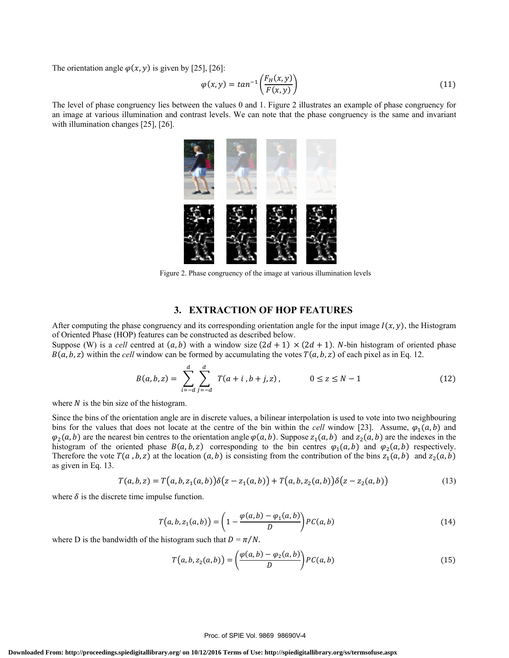The orientation angle  $\varphi(x, y)$  is given by [25], [26]:

$$
\varphi(x, y) = \tan^{-1}\left(\frac{F_H(x, y)}{F(x, y)}\right) \tag{11}
$$

The level of phase congruency lies between the values 0 and 1. Figure 2 illustrates an example of phase congruency for an image at various illumination and contrast levels. We can note that the phase congruency is the same and invariant with illumination changes [25], [26].



Figure 2. Phase congruency of the image at various illumination levels

#### **3. EXTRACTION OF HOP FEATURES**

After computing the phase congruency and its corresponding orientation angle for the input image  $I(x, y)$ , the Histogram of Oriented Phase (HOP) features can be constructed as described below.

Suppose (W) is a *cell* centred at  $(a, b)$  with a window size  $(2d + 1) \times (2d + 1)$ . *N*-bin histogram of oriented phase  $B(a, b, z)$  within the *cell* window can be formed by accumulating the votes  $T(a, b, z)$  of each pixel as in Eq. 12.

$$
B(a,b,z) = \sum_{i=-d}^{d} \sum_{j=-d}^{d} T(a+i, b+j, z), \qquad 0 \le z \le N-1
$$
 (12)

where  *is the bin size of the histogram.* 

Since the bins of the orientation angle are in discrete values, a bilinear interpolation is used to vote into two neighbouring bins for the values that does not locate at the centre of the bin within the *cell* window [23]. Assume,  $\varphi_1(a, b)$  and  $\varphi_2(a, b)$  are the nearest bin centres to the orientation angle  $\varphi(a, b)$ . Suppose  $z_1(a, b)$  and  $z_2(a, b)$  are the indexes in the histogram of the oriented phase  $B(a, b, z)$  corresponding to the bin centres  $\varphi_1(a, b)$  and  $\varphi_2(a, b)$  respectively. Therefore the vote  $T(a, b, z)$  at the location  $(a, b)$  is consisting from the contribution of the bins  $z_1(a, b)$  and  $z_2(a, b)$ as given in Eq. 13.

$$
T(a, b, z) = T(a, b, z_1(a, b))\delta(z - z_1(a, b)) + T(a, b, z_2(a, b))\delta(z - z_2(a, b))
$$
\n(13)

where  $\delta$  is the discrete time impulse function.

$$
T(a,b,z_1(a,b)) = \left(1 - \frac{\varphi(a,b) - \varphi_1(a,b)}{D}\right)PC(a,b)
$$
\n(14)

where D is the bandwidth of the histogram such that  $D = \pi/N$ .

$$
T(a,b,z_2(a,b)) = \left(\frac{\varphi(a,b) - \varphi_2(a,b)}{D}\right)PC(a,b)
$$
\n(15)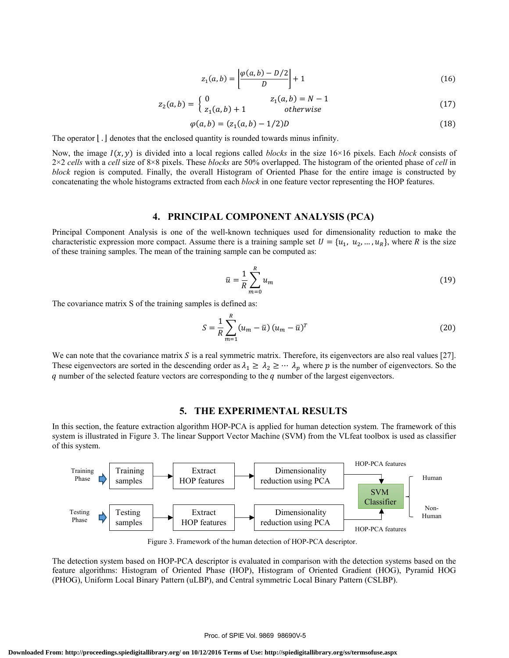$$
z_1(a,b) = \left[ \frac{\varphi(a,b) - D/2}{D} \right] + 1 \tag{16}
$$

$$
z_2(a,b) = \begin{cases} 0 & z_1(a,b) = N - 1 \\ z_1(a,b) + 1 & otherwise \end{cases}
$$
 (17)

$$
\varphi(a,b) = (z_1(a,b) - 1/2)D \tag{18}
$$

The operator  $\lfloor \cdot \rfloor$  denotes that the enclosed quantity is rounded towards minus infinity.

Now, the image  $I(x, y)$  is divided into a local regions called *blocks* in the size 16×16 pixels. Each *block* consists of 2×2 *cells* with a *cell* size of 8×8 pixels. These *blocks* are 50% overlapped. The histogram of the oriented phase of *cell* in *block* region is computed. Finally, the overall Histogram of Oriented Phase for the entire image is constructed by concatenating the whole histograms extracted from each *block* in one feature vector representing the HOP features.

#### **4. PRINCIPAL COMPONENT ANALYSIS (PCA)**

Principal Component Analysis is one of the well-known techniques used for dimensionality reduction to make the characteristic expression more compact. Assume there is a training sample set  $U = \{u_1, u_2, ..., u_R\}$ , where R is the size of these training samples. The mean of the training sample can be computed as:

$$
\bar{u} = \frac{1}{R} \sum_{m=0}^{R} u_m \tag{19}
$$

The covariance matrix S of the training samples is defined as:

$$
S = \frac{1}{R} \sum_{m=1}^{R} (u_m - \bar{u}) (u_m - \bar{u})^T
$$
 (20)

We can note that the covariance matrix  $S$  is a real symmetric matrix. Therefore, its eigenvectors are also real values [27]. These eigenvectors are sorted in the descending order as  $\lambda_1 \geq \lambda_2 \geq \cdots \lambda_p$  where p is the number of eigenvectors. So the  $q$  number of the selected feature vectors are corresponding to the  $q$  number of the largest eigenvectors.

#### **5. THE EXPERIMENTAL RESULTS**

In this section, the feature extraction algorithm HOP-PCA is applied for human detection system. The framework of this system is illustrated in Figure 3. The linear Support Vector Machine (SVM) from the VLfeat toolbox is used as classifier of this system.



Figure 3. Framework of the human detection of HOP-PCA descriptor.

The detection system based on HOP-PCA descriptor is evaluated in comparison with the detection systems based on the feature algorithms: Histogram of Oriented Phase (HOP), Histogram of Oriented Gradient (HOG), Pyramid HOG (PHOG), Uniform Local Binary Pattern (uLBP), and Central symmetric Local Binary Pattern (CSLBP).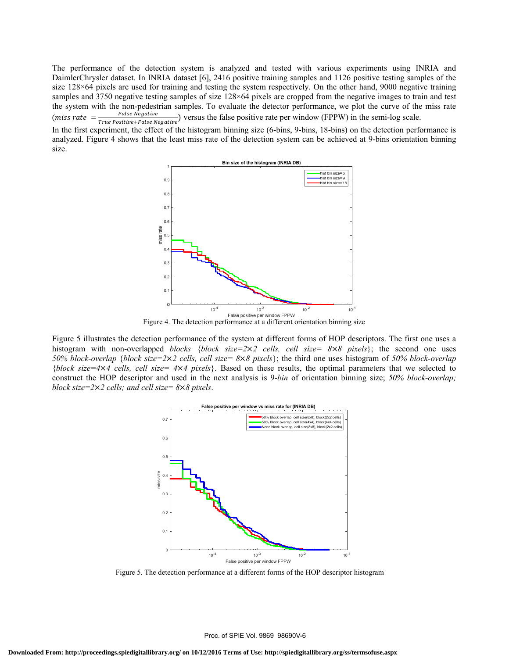The performance of the detection system is analyzed and tested with various experiments using INRIA and DaimlerChrysler dataset. In INRIA dataset [6], 2416 positive training samples and 1126 positive testing samples of the size 128×64 pixels are used for training and testing the system respectively. On the other hand, 9000 negative training samples and 3750 negative testing samples of size 128×64 pixels are cropped from the negative images to train and test the system with the non-pedestrian samples. To evaluate the detector performance, we plot the curve of the miss rate (*miss rate*  $=$   $\frac{False Negative}{True \, Positive+False \, Negative}$ ) versus the false positive rate per window (FPPW) in the semi-log scale.

In the first experiment, the effect of the histogram binning size (6-bins, 9-bins, 18-bins) on the detection performance is analyzed. Figure 4 shows that the least miss rate of the detection system can be achieved at 9-bins orientation binning size.



Figure 4. The detection performance at a different orientation binning size

Figure 5 illustrates the detection performance of the system at different forms of HOP descriptors. The first one uses a histogram with non-overlapped *blocks* {*block size=2*×*2 cells, cell size= 8*×*8 pixels*}; the second one uses *50% block-overlap* {*block size=2*×*2 cells, cell size= 8*×*8 pixels*}; the third one uses histogram of *50% block-overlap*  {*block size=4*×*4 cells, cell size= 4*×*4 pixels*}. Based on these results, the optimal parameters that we selected to construct the HOP descriptor and used in the next analysis is 9-*bin* of orientation binning size; *50% block-overlap; block size=2*×*2 cells; and cell size= 8*×*8 pixels*.



Figure 5. The detection performance at a different forms of the HOP descriptor histogram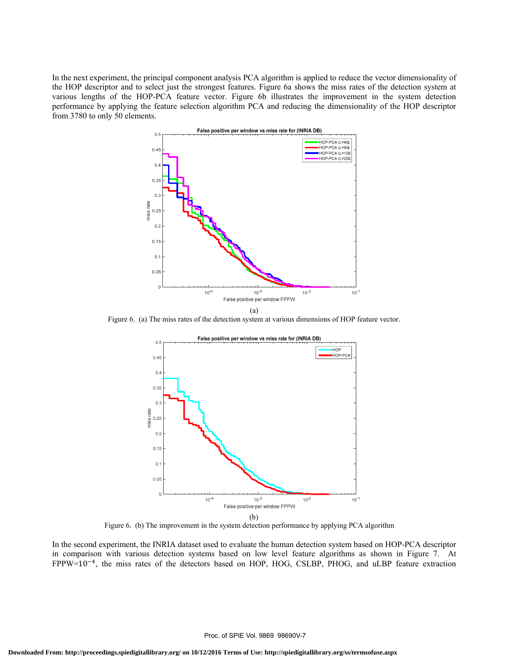In the next experiment, the principal component analysis PCA algorithm is applied to reduce the vector dimensionality of the HOP descriptor and to select just the strongest features. Figure 6a shows the miss rates of the detection system at various lengths of the HOP-PCA feature vector. Figure 6b illustrates the improvement in the system detection performance by applying the feature selection algorithm PCA and reducing the dimensionality of the HOP descriptor from 3780 to only 50 elements.



Figure 6. (a) The miss rates of the detection system at various dimensions of HOP feature vector.



Figure 6. (b) The improvement in the system detection performance by applying PCA algorithm

In the second experiment, the INRIA dataset used to evaluate the human detection system based on HOP-PCA descriptor in comparison with various detection systems based on low level feature algorithms as shown in Figure 7. At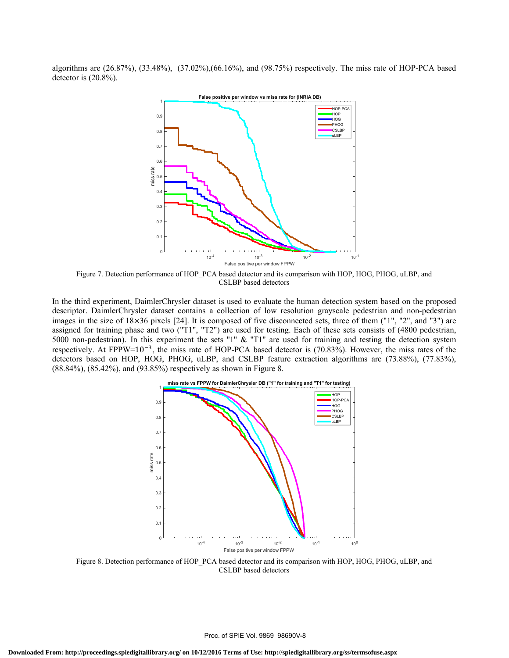algorithms are (26.87%), (33.48%), (37.02%),(66.16%), and (98.75%) respectively. The miss rate of HOP-PCA based detector is (20.8%).

![](_page_8_Figure_1.jpeg)

Figure 7. Detection performance of HOP\_PCA based detector and its comparison with HOP, HOG, PHOG, uLBP, and CSLBP based detectors

In the third experiment, DaimlerChrysler dataset is used to evaluate the human detection system based on the proposed descriptor. DaimlerChrysler dataset contains a collection of low resolution grayscale pedestrian and non-pedestrian images in the size of 18×36 pixels [24]. It is composed of five disconnected sets, three of them ("1", "2", and "3") are assigned for training phase and two ("T1", "T2") are used for testing. Each of these sets consists of (4800 pedestrian, 5000 non-pedestrian). In this experiment the sets "1"  $\&$  "T1" are used for training and testing the detection system respectively. At FPPW= $10^{-3}$ , the miss rate of HOP-PCA based detector is (70.83%). However, the miss rates of the detectors based on HOP, HOG, PHOG, uLBP, and CSLBP feature extraction algorithms are (73.88%), (77.83%), (88.84%), (85.42%), and (93.85%) respectively as shown in Figure 8.

![](_page_8_Figure_4.jpeg)

Figure 8. Detection performance of HOP\_PCA based detector and its comparison with HOP, HOG, PHOG, uLBP, and CSLBP based detectors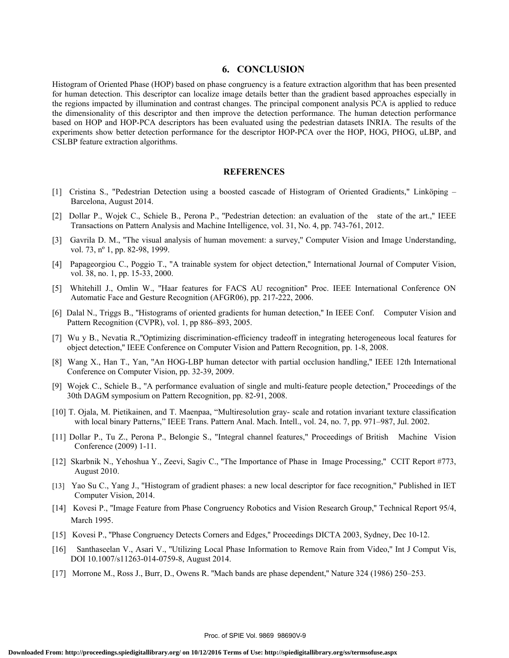#### **6. CONCLUSION**

Histogram of Oriented Phase (HOP) based on phase congruency is a feature extraction algorithm that has been presented for human detection. This descriptor can localize image details better than the gradient based approaches especially in the regions impacted by illumination and contrast changes. The principal component analysis PCA is applied to reduce the dimensionality of this descriptor and then improve the detection performance. The human detection performance based on HOP and HOP-PCA descriptors has been evaluated using the pedestrian datasets INRIA. The results of the experiments show better detection performance for the descriptor HOP-PCA over the HOP, HOG, PHOG, uLBP, and CSLBP feature extraction algorithms.

#### **REFERENCES**

- [1] Cristina S., "Pedestrian Detection using a boosted cascade of Histogram of Oriented Gradients," Linköping Barcelona, August 2014.
- [2] Dollar P., Wojek C., Schiele B., Perona P., ''Pedestrian detection: an evaluation of the state of the art.,'' IEEE Transactions on Pattern Analysis and Machine Intelligence, vol. 31, No. 4, pp. 743-761, 2012.
- [3] Gavrila D. M., ''The visual analysis of human movement: a survey,'' Computer Vision and Image Understanding, vol. 73, nº 1, pp. 82-98, 1999.
- [4] Papageorgiou C., Poggio T., "A trainable system for object detection," International Journal of Computer Vision, vol. 38, no. 1, pp. 15-33, 2000.
- [5] Whitehill J., Omlin W., ''Haar features for FACS AU recognition'' Proc. IEEE International Conference ON Automatic Face and Gesture Recognition (AFGR06), pp. 217-222, 2006.
- [6] Dalal N., Triggs B., ''Histograms of oriented gradients for human detection,'' In IEEE Conf. Computer Vision and Pattern Recognition (CVPR), vol. 1, pp 886–893, 2005.
- [7] Wu y B., Nevatia R.,''Optimizing discrimination-efficiency tradeoff in integrating heterogeneous local features for object detection,'' IEEE Conference on Computer Vision and Pattern Recognition, pp. 1-8, 2008.
- [8] Wang X., Han T., Yan, ''An HOG-LBP human detector with partial occlusion handling,'' IEEE 12th International Conference on Computer Vision, pp. 32-39, 2009.
- [9] Wojek C., Schiele B., ''A performance evaluation of single and multi-feature people detection,'' Proceedings of the 30th DAGM symposium on Pattern Recognition, pp. 82-91, 2008.
- [10] T. Ojala, M. Pietikainen, and T. Maenpaa, "Multiresolution gray- scale and rotation invariant texture classification with local binary Patterns," IEEE Trans. Pattern Anal. Mach. Intell., vol. 24, no. 7, pp. 971–987, Jul. 2002.
- [11] Dollar P., Tu Z., Perona P., Belongie S., "Integral channel features," Proceedings of British Machine Vision Conference (2009) 1-11.
- [12] Skarbnik N., Yehoshua Y., Zeevi, Sagiv C., ''The Importance of Phase in Image Processing,'' CCIT Report #773, August 2010.
- [13] Yao Su C., Yang J., ''Histogram of gradient phases: a new local descriptor for face recognition,'' Published in IET Computer Vision, 2014.
- [14] Kovesi P., ''Image Feature from Phase Congruency Robotics and Vision Research Group,'' Technical Report 95/4, March 1995.
- [15] Kovesi P., ''Phase Congruency Detects Corners and Edges,'' Proceedings DICTA 2003, Sydney, Dec 10-12.
- [16] Santhaseelan V., Asari V., ''Utilizing Local Phase Information to Remove Rain from Video,'' Int J Comput Vis, DOI 10.1007/s11263-014-0759-8, August 2014.
- [17] Morrone M., Ross J., Burr, D., Owens R. ''Mach bands are phase dependent,'' Nature 324 (1986) 250–253.